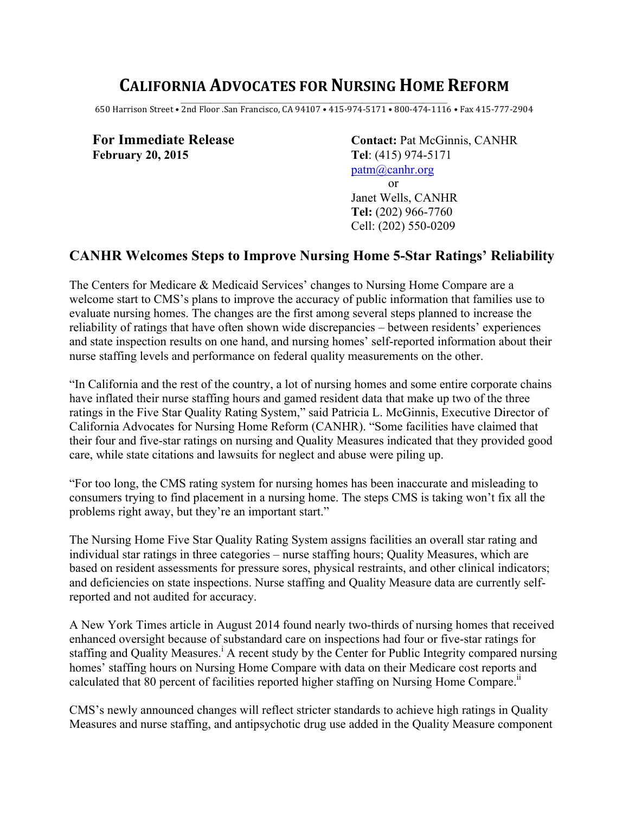# **CALIFORNIA ADVOCATES FOR NURSING HOME REFORM**

\_\_\_\_\_\_\_\_\_\_\_\_\_\_\_\_\_\_\_\_\_\_\_\_\_\_\_\_\_\_\_\_\_\_\_\_\_\_\_\_\_\_\_\_\_\_\_\_\_\_\_\_\_\_\_\_\_\_\_\_\_\_\_\_\_\_\_\_\_\_\_\_\_\_\_\_\_\_\_\_\_\_\_\_\_\_\_\_\_\_\_\_\_\_\_\_\_\_\_\_ 650 Harrison Street • 2nd Floor .San Francisco, CA 94107 • 415-974-5171 • 800-474-1116 • Fax 415-777-2904

**February 20, 2015 Tel**: (415) 974-5171

For Immediate Release **Contact: Pat McGinnis, CANHR** patm@canhr.org or

> Janet Wells, CANHR **Tel:** (202) 966-7760 Cell: (202) 550-0209

## **CANHR Welcomes Steps to Improve Nursing Home 5-Star Ratings' Reliability**

The Centers for Medicare & Medicaid Services' changes to Nursing Home Compare are a welcome start to CMS's plans to improve the accuracy of public information that families use to evaluate nursing homes. The changes are the first among several steps planned to increase the reliability of ratings that have often shown wide discrepancies – between residents' experiences and state inspection results on one hand, and nursing homes' self-reported information about their nurse staffing levels and performance on federal quality measurements on the other.

"In California and the rest of the country, a lot of nursing homes and some entire corporate chains have inflated their nurse staffing hours and gamed resident data that make up two of the three ratings in the Five Star Quality Rating System," said Patricia L. McGinnis, Executive Director of California Advocates for Nursing Home Reform (CANHR). "Some facilities have claimed that their four and five-star ratings on nursing and Quality Measures indicated that they provided good care, while state citations and lawsuits for neglect and abuse were piling up.

"For too long, the CMS rating system for nursing homes has been inaccurate and misleading to consumers trying to find placement in a nursing home. The steps CMS is taking won't fix all the problems right away, but they're an important start."

The Nursing Home Five Star Quality Rating System assigns facilities an overall star rating and individual star ratings in three categories – nurse staffing hours; Quality Measures, which are based on resident assessments for pressure sores, physical restraints, and other clinical indicators; and deficiencies on state inspections. Nurse staffing and Quality Measure data are currently selfreported and not audited for accuracy.

A New York Times article in August 2014 found nearly two-thirds of nursing homes that received enhanced oversight because of substandard care on inspections had four or five-star ratings for staffing and Quality Measures.<sup>i</sup> A recent study by the Center for Public Integrity compared nursing homes' staffing hours on Nursing Home Compare with data on their Medicare cost reports and calculated that 80 percent of facilities reported higher staffing on Nursing Home Compare.<sup>11</sup>

CMS's newly announced changes will reflect stricter standards to achieve high ratings in Quality Measures and nurse staffing, and antipsychotic drug use added in the Quality Measure component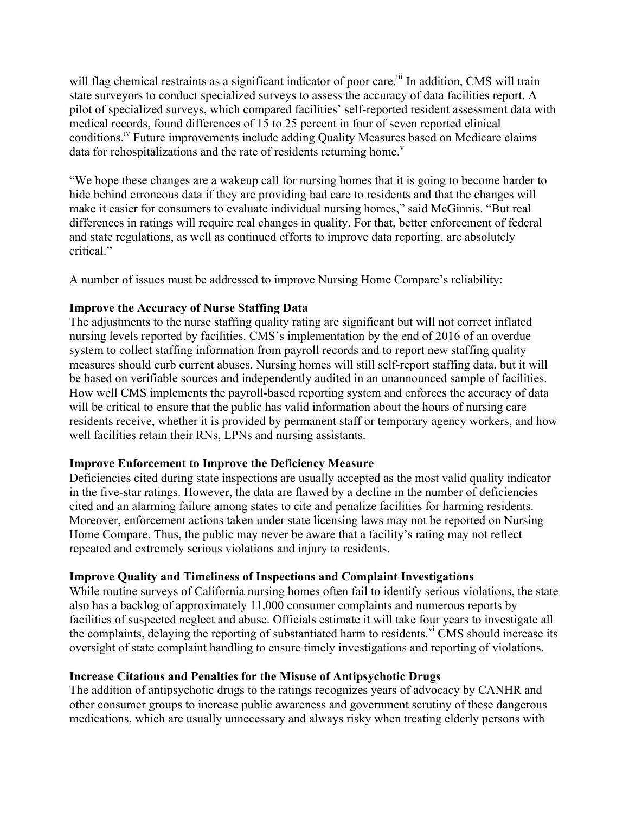will flag chemical restraints as a significant indicator of poor care.<sup>iii</sup> In addition, CMS will train state surveyors to conduct specialized surveys to assess the accuracy of data facilities report. A pilot of specialized surveys, which compared facilities' self-reported resident assessment data with medical records, found differences of 15 to 25 percent in four of seven reported clinical conditions.<sup>iv</sup> Future improvements include adding Quality Measures based on Medicare claims data for rehospitalizations and the rate of residents returning home.<sup> $v$ </sup>

"We hope these changes are a wakeup call for nursing homes that it is going to become harder to hide behind erroneous data if they are providing bad care to residents and that the changes will make it easier for consumers to evaluate individual nursing homes," said McGinnis. "But real differences in ratings will require real changes in quality. For that, better enforcement of federal and state regulations, as well as continued efforts to improve data reporting, are absolutely critical."

A number of issues must be addressed to improve Nursing Home Compare's reliability:

### **Improve the Accuracy of Nurse Staffing Data**

The adjustments to the nurse staffing quality rating are significant but will not correct inflated nursing levels reported by facilities. CMS's implementation by the end of 2016 of an overdue system to collect staffing information from payroll records and to report new staffing quality measures should curb current abuses. Nursing homes will still self-report staffing data, but it will be based on verifiable sources and independently audited in an unannounced sample of facilities. How well CMS implements the payroll-based reporting system and enforces the accuracy of data will be critical to ensure that the public has valid information about the hours of nursing care residents receive, whether it is provided by permanent staff or temporary agency workers, and how well facilities retain their RNs, LPNs and nursing assistants.

### **Improve Enforcement to Improve the Deficiency Measure**

Deficiencies cited during state inspections are usually accepted as the most valid quality indicator in the five-star ratings. However, the data are flawed by a decline in the number of deficiencies cited and an alarming failure among states to cite and penalize facilities for harming residents. Moreover, enforcement actions taken under state licensing laws may not be reported on Nursing Home Compare. Thus, the public may never be aware that a facility's rating may not reflect repeated and extremely serious violations and injury to residents.

### **Improve Quality and Timeliness of Inspections and Complaint Investigations**

While routine surveys of California nursing homes often fail to identify serious violations, the state also has a backlog of approximately 11,000 consumer complaints and numerous reports by facilities of suspected neglect and abuse. Officials estimate it will take four years to investigate all the complaints, delaying the reporting of substantiated harm to residents.<sup>vi</sup> CMS should increase its oversight of state complaint handling to ensure timely investigations and reporting of violations.

### **Increase Citations and Penalties for the Misuse of Antipsychotic Drugs**

The addition of antipsychotic drugs to the ratings recognizes years of advocacy by CANHR and other consumer groups to increase public awareness and government scrutiny of these dangerous medications, which are usually unnecessary and always risky when treating elderly persons with